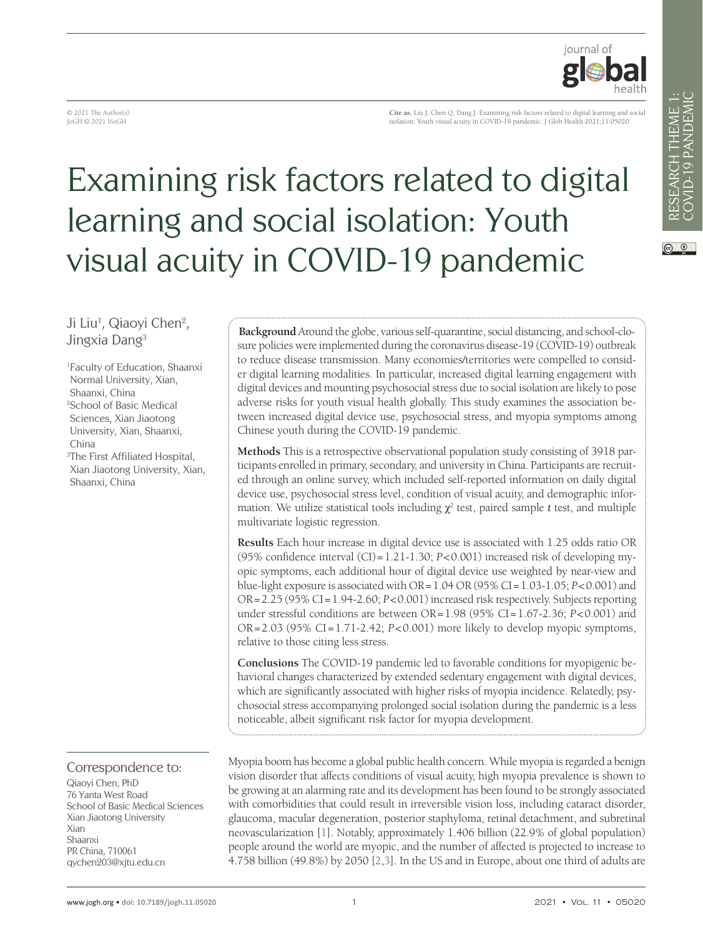$\circledcirc$ 



© 2021 The Author(s) JoGH © 2021 ISoGH

**Cite as:** Liu J, Chen Q, Dang J. Examining risk factors related to digital learning and social isolation: Youth visual acuity in COVID-19 pandemic. J Glob Health 2021;11:05020.

# Examining risk factors related to digital learning and social isolation: Youth visual acuity in COVID-19 pandemic

# Ji Liu<sup>1</sup>, Qiaoyi Chen<sup>2</sup>, Jingxia Dang3

1 Faculty of Education, Shaanxi Normal University, Xian, Shaanxi, China 2 School of Basic Medical Sciences, Xian Jiaotong University, Xian, Shaanxi, China 3 The First Affiliated Hospital, Xian Jiaotong University, Xian, Shaanxi, China

# Correspondence to:

Qiaoyi Chen, PhD 76 Yanta West Road School of Basic Medical Sciences Xian Jiaotong University Xian Shaanxi PR China, 710061 qychen203@xjtu.edu.cn

**Background** Around the globe, various self-quarantine, social distancing, and school-closure policies were implemented during the coronavirus disease-19 (COVID-19) outbreak to reduce disease transmission. Many economies/territories were compelled to consider digital learning modalities. In particular, increased digital learning engagement with digital devices and mounting psychosocial stress due to social isolation are likely to pose adverse risks for youth visual health globally. This study examines the association between increased digital device use, psychosocial stress, and myopia symptoms among Chinese youth during the COVID-19 pandemic.

**Methods** This is a retrospective observational population study consisting of 3918 participants enrolled in primary, secondary, and university in China. Participants are recruited through an online survey, which included self-reported information on daily digital device use, psychosocial stress level, condition of visual acuity, and demographic information. We utilize statistical tools including  $\chi^2$  test, paired sample *t* test, and multiple multivariate logistic regression.

**Results** Each hour increase in digital device use is associated with 1.25 odds ratio OR (95% confidence interval (CI)=1.21-1.30; *P*<0.001) increased risk of developing myopic symptoms, each additional hour of digital device use weighted by near-view and blue-light exposure is associated with OR=1.04 OR (95% CI=1.03-1.05; *P*<0.001) and OR=2.25 (95% CI=1.94-2.60; *P*<0.001) increased risk respectively. Subjects reporting under stressful conditions are between OR=1.98 (95% CI=1.67-2.36; *P*<0.001) and OR=2.03 (95% CI=1.71-2.42; *P*<0.001) more likely to develop myopic symptoms, relative to those citing less stress.

**Conclusions** The COVID-19 pandemic led to favorable conditions for myopigenic behavioral changes characterized by extended sedentary engagement with digital devices, which are significantly associated with higher risks of myopia incidence. Relatedly, psychosocial stress accompanying prolonged social isolation during the pandemic is a less noticeable, albeit significant risk factor for myopia development.

Myopia boom has become a global public health concern. While myopia is regarded a benign vision disorder that affects conditions of visual acuity, high myopia prevalence is shown to be growing at an alarming rate and its development has been found to be strongly associated with comorbidities that could result in irreversible vision loss, including cataract disorder, glaucoma, macular degeneration, posterior staphyloma, retinal detachment, and subretinal neovascularization [[1\]](#page-6-0). Notably, approximately 1.406 billion (22.9% of global population) people around the world are myopic, and the number of affected is projected to increase to 4.758 billion (49.8%) by 2050 [\[2](#page-6-1),[3\]](#page-6-2). In the US and in Europe, about one third of adults are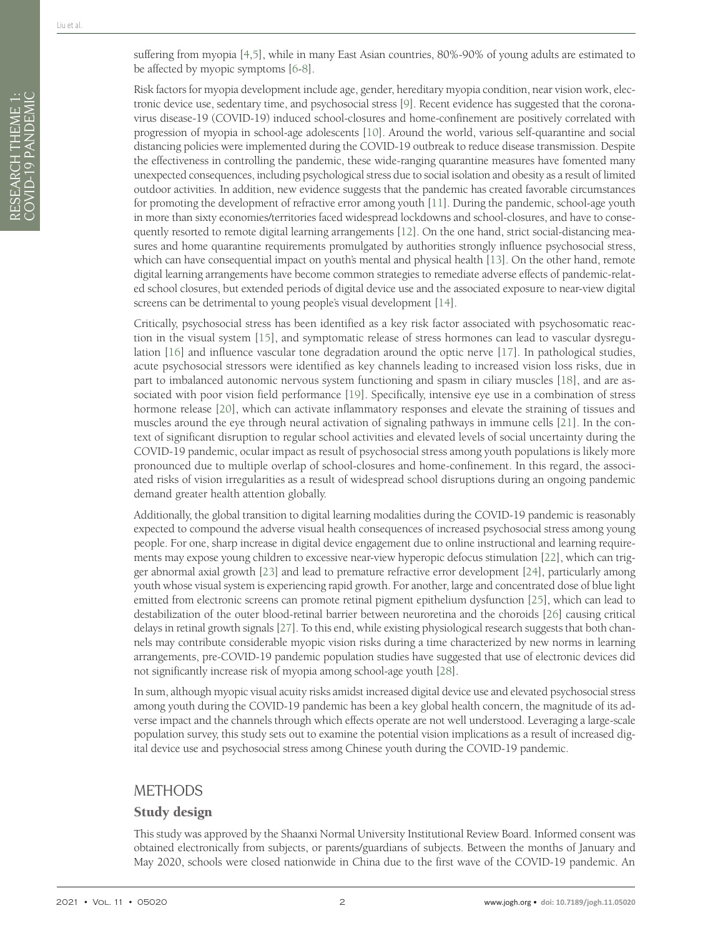RESEARCH THEME 1: COVID-19 PANDEMIC

RESEARCH THEME 1:<br>COVID-19 PANDEMIC

Risk factors for myopia development include age, gender, hereditary myopia condition, near vision work, electronic device use, sedentary time, and psychosocial stress [\[9](#page-6-7)]. Recent evidence has suggested that the coronavirus disease-19 (COVID-19) induced school-closures and home-confinement are positively correlated with progression of myopia in school-age adolescents [[10\]](#page-6-8). Around the world, various self-quarantine and social distancing policies were implemented during the COVID-19 outbreak to reduce disease transmission. Despite the effectiveness in controlling the pandemic, these wide-ranging quarantine measures have fomented many unexpected consequences, including psychological stress due to social isolation and obesity as a result of limited outdoor activities. In addition, new evidence suggests that the pandemic has created favorable circumstances for promoting the development of refractive error among youth [\[11\]](#page-6-9). During the pandemic, school-age youth in more than sixty economies/territories faced widespread lockdowns and school-closures, and have to consequently resorted to remote digital learning arrangements [[12\]](#page-6-10). On the one hand, strict social-distancing measures and home quarantine requirements promulgated by authorities strongly influence psychosocial stress, which can have consequential impact on youth's mental and physical health [\[13](#page-6-11)]. On the other hand, remote digital learning arrangements have become common strategies to remediate adverse effects of pandemic-related school closures, but extended periods of digital device use and the associated exposure to near-view digital screens can be detrimental to young people's visual development [\[14\]](#page-6-12).

Critically, psychosocial stress has been identified as a key risk factor associated with psychosomatic reaction in the visual system [\[15\]](#page-6-13), and symptomatic release of stress hormones can lead to vascular dysregulation [[16](#page-6-14)] and influence vascular tone degradation around the optic nerve [[17](#page-7-0)]. In pathological studies, acute psychosocial stressors were identified as key channels leading to increased vision loss risks, due in part to imbalanced autonomic nervous system functioning and spasm in ciliary muscles [\[18\]](#page-7-1), and are associated with poor vision field performance [\[19\]](#page-7-2). Specifically, intensive eye use in a combination of stress hormone release [[20](#page-7-3)], which can activate inflammatory responses and elevate the straining of tissues and muscles around the eye through neural activation of signaling pathways in immune cells [[21](#page-7-4)]. In the context of significant disruption to regular school activities and elevated levels of social uncertainty during the COVID-19 pandemic, ocular impact as result of psychosocial stress among youth populations is likely more pronounced due to multiple overlap of school-closures and home-confinement. In this regard, the associated risks of vision irregularities as a result of widespread school disruptions during an ongoing pandemic demand greater health attention globally.

Additionally, the global transition to digital learning modalities during the COVID-19 pandemic is reasonably expected to compound the adverse visual health consequences of increased psychosocial stress among young people. For one, sharp increase in digital device engagement due to online instructional and learning requirements may expose young children to excessive near-view hyperopic defocus stimulation [\[22](#page-7-5)], which can trigger abnormal axial growth [[23\]](#page-7-6) and lead to premature refractive error development [[24\]](#page-7-7), particularly among youth whose visual system is experiencing rapid growth. For another, large and concentrated dose of blue light emitted from electronic screens can promote retinal pigment epithelium dysfunction [\[25\]](#page-7-8), which can lead to destabilization of the outer blood-retinal barrier between neuroretina and the choroids [[26](#page-7-9)] causing critical delays in retinal growth signals [\[27](#page-7-10)]. To this end, while existing physiological research suggests that both channels may contribute considerable myopic vision risks during a time characterized by new norms in learning arrangements, pre-COVID-19 pandemic population studies have suggested that use of electronic devices did not significantly increase risk of myopia among school-age youth [[28\]](#page-7-11).

In sum, although myopic visual acuity risks amidst increased digital device use and elevated psychosocial stress among youth during the COVID-19 pandemic has been a key global health concern, the magnitude of its adverse impact and the channels through which effects operate are not well understood. Leveraging a large-scale population survey, this study sets out to examine the potential vision implications as a result of increased digital device use and psychosocial stress among Chinese youth during the COVID-19 pandemic.

# METHODS

## Study design

This study was approved by the Shaanxi Normal University Institutional Review Board. Informed consent was obtained electronically from subjects, or parents/guardians of subjects. Between the months of January and May 2020, schools were closed nationwide in China due to the first wave of the COVID-19 pandemic. An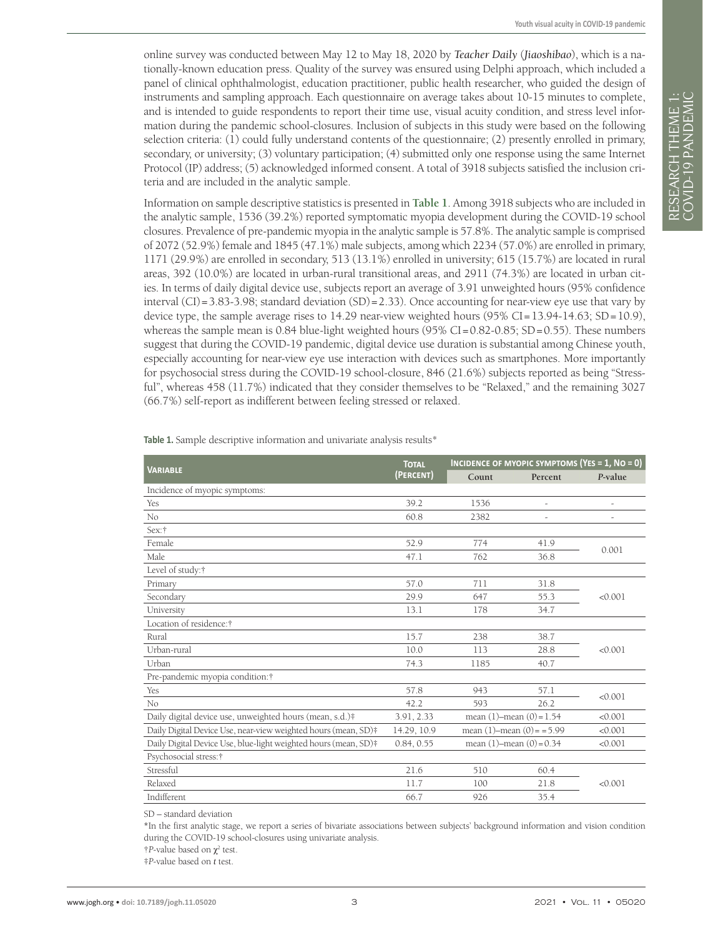online survey was conducted between May 12 to May 18, 2020 by *Teacher Daily* (*Jiaoshibao*), which is a nationally-known education press. Quality of the survey was ensured using Delphi approach, which included a panel of clinical ophthalmologist, education practitioner, public health researcher, who guided the design of instruments and sampling approach. Each questionnaire on average takes about 10-15 minutes to complete, and is intended to guide respondents to report their time use, visual acuity condition, and stress level information during the pandemic school-closures. Inclusion of subjects in this study were based on the following selection criteria: (1) could fully understand contents of the questionnaire; (2) presently enrolled in primary, secondary, or university; (3) voluntary participation; (4) submitted only one response using the same Internet Protocol (IP) address; (5) acknowledged informed consent. A total of 3918 subjects satisfied the inclusion criteria and are included in the analytic sample.

Information on sample descriptive statistics is presented in **[Table 1](#page-2-0)**. Among 3918 subjects who are included in the analytic sample, 1536 (39.2%) reported symptomatic myopia development during the COVID-19 school closures. Prevalence of pre-pandemic myopia in the analytic sample is 57.8%. The analytic sample is comprised of 2072 (52.9%) female and 1845 (47.1%) male subjects, among which 2234 (57.0%) are enrolled in primary, 1171 (29.9%) are enrolled in secondary, 513 (13.1%) enrolled in university; 615 (15.7%) are located in rural areas, 392 (10.0%) are located in urban-rural transitional areas, and 2911 (74.3%) are located in urban cities. In terms of daily digital device use, subjects report an average of 3.91 unweighted hours (95% confidence interval (CI)=3.83-3.98; standard deviation  $(SD)$ =2.33). Once accounting for near-view eye use that vary by device type, the sample average rises to  $14.29$  near-view weighted hours  $(95\% \text{ CI} = 13.94-14.63; SD = 10.9)$ , whereas the sample mean is 0.84 blue-light weighted hours  $(95\% CI = 0.82 - 0.85; SD = 0.55)$ . These numbers suggest that during the COVID-19 pandemic, digital device use duration is substantial among Chinese youth, especially accounting for near-view eye use interaction with devices such as smartphones. More importantly for psychosocial stress during the COVID-19 school-closure, 846 (21.6%) subjects reported as being "Stressful", whereas 458 (11.7%) indicated that they consider themselves to be "Relaxed," and the remaining 3027 (66.7%) self-report as indifferent between feeling stressed or relaxed.

| <b>VARIABLE</b>                                                 | <b>TOTAL</b> | INCIDENCE OF MYOPIC SYMPTOMS (YES = 1, NO = 0) |         |         |  |  |
|-----------------------------------------------------------------|--------------|------------------------------------------------|---------|---------|--|--|
|                                                                 | (PERCENT)    | Count                                          | Percent | P-value |  |  |
| Incidence of myopic symptoms:                                   |              |                                                |         |         |  |  |
| Yes                                                             | 39.2         | 1536                                           |         |         |  |  |
| No                                                              | 60.8         | 2382                                           |         |         |  |  |
| Sex:†                                                           |              |                                                |         |         |  |  |
| Female                                                          | 52.9         | 774                                            | 41.9    | 0.001   |  |  |
| Male                                                            | 47.1         | 762                                            | 36.8    |         |  |  |
| Level of study:†                                                |              |                                                |         |         |  |  |
| Primary                                                         | 57.0         | 711                                            | 31.8    |         |  |  |
| Secondary                                                       | 29.9         | 647                                            | 55.3    | < 0.001 |  |  |
| University                                                      | 13.1         | 178                                            | 34.7    |         |  |  |
| Location of residence:†                                         |              |                                                |         |         |  |  |
| Rural                                                           | 15.7         | 238                                            | 38.7    |         |  |  |
| Urban-rural                                                     | 10.0         | 113                                            | 28.8    | < 0.001 |  |  |
| Urban                                                           | 74.3         | 1185                                           | 40.7    |         |  |  |
| Pre-pandemic myopia condition:†                                 |              |                                                |         |         |  |  |
| Yes                                                             | 57.8         | 943                                            | 57.1    | < 0.001 |  |  |
| No                                                              | 42.2         | 593                                            | 26.2    |         |  |  |
| Daily digital device use, unweighted hours (mean, s.d.)#        | 3.91, 2.33   | mean $(1)$ -mean $(0) = 1.54$                  |         | < 0.001 |  |  |
| Daily Digital Device Use, near-view weighted hours (mean, SD)#  | 14.29, 10.9  | mean $(1)$ -mean $(0)$ = = 5.99                |         | < 0.001 |  |  |
| Daily Digital Device Use, blue-light weighted hours (mean, SD)# | 0.84, 0.55   | mean $(1)$ -mean $(0) = 0.34$                  |         | < 0.001 |  |  |
| Psychosocial stress: †                                          |              |                                                |         |         |  |  |
| Stressful                                                       | 21.6         | 510                                            | 60.4    |         |  |  |
| Relaxed                                                         | 11.7         | 100                                            | 21.8    | < 0.001 |  |  |
| Indifferent                                                     | 66.7         | 926                                            | 35.4    |         |  |  |

<span id="page-2-0"></span>**Table 1.** Sample descriptive information and univariate analysis results\*

SD – standard deviation

**\***In the first analytic stage, we report a series of bivariate associations between subjects' background information and vision condition during the COVID-19 school-closures using univariate analysis.

 $\uparrow$ *P*-value based on  $\chi^2$  test.

‡*P*-value based on *t* test.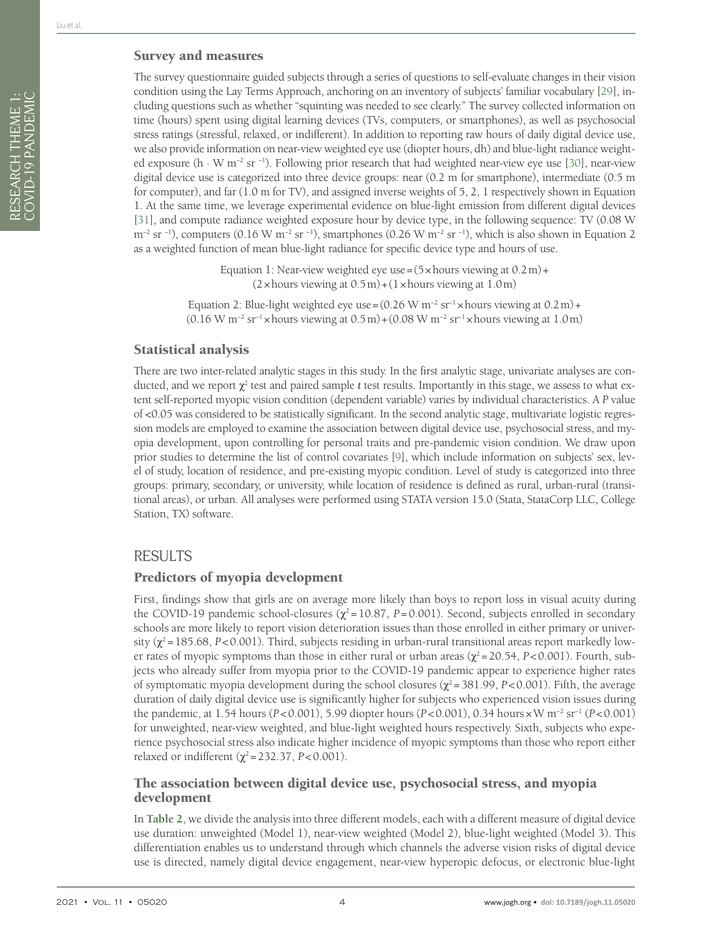RESEARCH THEME 1: COVID-19 PANDEMIC

RESEARCH THEME 1:<br>COVID-19 PANDEMIC

## Survey and measures

The survey questionnaire guided subjects through a series of questions to self-evaluate changes in their vision condition using the Lay Terms Approach, anchoring on an inventory of subjects' familiar vocabulary [\[29](#page-7-12)], including questions such as whether "squinting was needed to see clearly." The survey collected information on time (hours) spent using digital learning devices (TVs, computers, or smartphones), as well as psychosocial stress ratings (stressful, relaxed, or indifferent). In addition to reporting raw hours of daily digital device use, we also provide information on near-view weighted eye use (diopter hours, dh) and blue-light radiance weighted exposure (h ∙ W m−2 sr −1). Following prior research that had weighted near-view eye use [\[30](#page-7-13)], near-view digital device use is categorized into three device groups: near (0.2 m for smartphone), intermediate (0.5 m for computer), and far (1.0 m for TV), and assigned inverse weights of 5, 2, 1 respectively shown in Equation 1. At the same time, we leverage experimental evidence on blue-light emission from different digital devices [[31\]](#page-7-14), and compute radiance weighted exposure hour by device type, in the following sequence: TV (0.08 W  $m^{-2}$  sr <sup>-1</sup>), computers (0.16 W m<sup>-2</sup> sr <sup>-1</sup>), smartphones (0.26 W m<sup>-2</sup> sr <sup>-1</sup>), which is also shown in Equation 2 as a weighted function of mean blue-light radiance for specific device type and hours of use.

> Equation 1: Near-view weighted eye use =  $(5 \times$  hours viewing at  $0.2 \text{ m}$ ) +  $(2 \times$  hours viewing at  $0.5 \,\mathrm{m}$  +  $(1 \times$  hours viewing at  $1.0 \,\mathrm{m}$ )

Equation 2: Blue-light weighted eye use =  $(0.26 \text{ W m}^{-2} \text{ sr}^{-1} \times \text{hours viewing at } 0.2 \text{ m}) +$ (0.16 W m−2 sr−1 ×hours viewing at 0.5m)+(0.08 W m−2 sr−1 ×hours viewing at 1.0m)

#### Statistical analysis

There are two inter-related analytic stages in this study. In the first analytic stage, univariate analyses are conducted, and we report  $\chi^2$  test and paired sample  $t$  test results. Importantly in this stage, we assess to what extent self-reported myopic vision condition (dependent variable) varies by individual characteristics. A *P* value of <0.05 was considered to be statistically significant. In the second analytic stage, multivariate logistic regression models are employed to examine the association between digital device use, psychosocial stress, and myopia development, upon controlling for personal traits and pre-pandemic vision condition. We draw upon prior studies to determine the list of control covariates [\[9](#page-6-7)], which include information on subjects' sex, level of study, location of residence, and pre-existing myopic condition. Level of study is categorized into three groups: primary, secondary, or university, while location of residence is defined as rural, urban-rural (transitional areas), or urban. All analyses were performed using STATA version 15.0 (Stata, StataCorp LLC, College Station, TX) software.

## RESULTS

## Predictors of myopia development

First, findings show that girls are on average more likely than boys to report loss in visual acuity during the COVID-19 pandemic school-closures  $(\chi^2 = 10.87, P = 0.001)$ . Second, subjects enrolled in secondary schools are more likely to report vision deterioration issues than those enrolled in either primary or university ( $\chi^2$  = 185.68, *P*<0.001). Third, subjects residing in urban-rural transitional areas report markedly lower rates of myopic symptoms than those in either rural or urban areas ( $\chi^2$ =20.54, *P*<0.001). Fourth, subjects who already suffer from myopia prior to the COVID-19 pandemic appear to experience higher rates of symptomatic myopia development during the school closures  $(\chi^2 = 381.99, P < 0.001)$ . Fifth, the average duration of daily digital device use is significantly higher for subjects who experienced vision issues during the pandemic, at 1.54 hours (*P*<0.001), 5.99 diopter hours (*P*<0.001), 0.34 hours×W m−2 sr−1 (*P*<0.001) for unweighted, near-view weighted, and blue-light weighted hours respectively. Sixth, subjects who experience psychosocial stress also indicate higher incidence of myopic symptoms than those who report either relaxed or indifferent ( $χ² = 232.37$ , *P*<0.001).

## The association between digital device use, psychosocial stress, and myopia development

In **[Table 2](#page-4-0)**, we divide the analysis into three different models, each with a different measure of digital device use duration: unweighted (Model 1), near-view weighted (Model 2), blue-light weighted (Model 3). This differentiation enables us to understand through which channels the adverse vision risks of digital device use is directed, namely digital device engagement, near-view hyperopic defocus, or electronic blue-light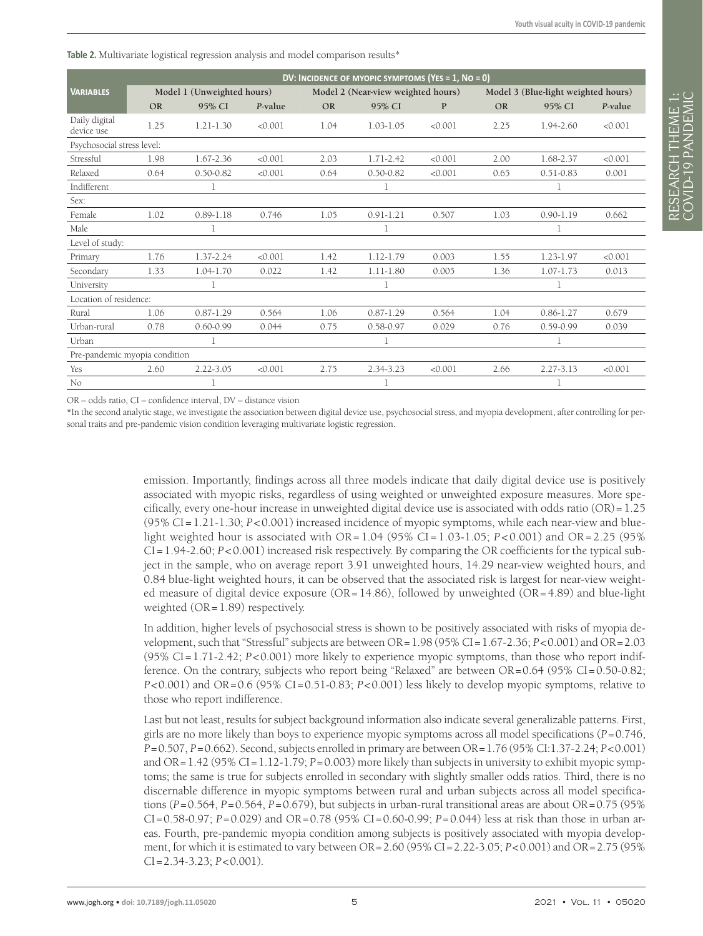<span id="page-4-0"></span>**Table 2.** Multivariate logistical regression analysis and model comparison results\*

|                               | DV: INCIDENCE OF MYOPIC SYMPTOMS (YES = 1, NO = 0) |               |         |                                    |               |              |                                     |               |         |  |  |
|-------------------------------|----------------------------------------------------|---------------|---------|------------------------------------|---------------|--------------|-------------------------------------|---------------|---------|--|--|
| <b>VARIABLES</b>              | Model 1 (Unweighted hours)                         |               |         | Model 2 (Near-view weighted hours) |               |              | Model 3 (Blue-light weighted hours) |               |         |  |  |
|                               | <b>OR</b>                                          | 95% CI        | P-value | <b>OR</b>                          | 95% CI        | $\mathbf{P}$ | <b>OR</b>                           | 95% CI        | P-value |  |  |
| Daily digital<br>device use   | 1.25                                               | $1.21 - 1.30$ | < 0.001 | 1.04                               | $1.03 - 1.05$ | < 0.001      | 2.25                                | 1.94-2.60     | < 0.001 |  |  |
| Psychosocial stress level:    |                                                    |               |         |                                    |               |              |                                     |               |         |  |  |
| Stressful                     | 1.98                                               | 1.67-2.36     | < 0.001 | 2.03                               | 1.71-2.42     | < 0.001      | 2.00                                | 1.68-2.37     | < 0.001 |  |  |
| Relaxed                       | 0.64                                               | $0.50 - 0.82$ | < 0.001 | 0.64                               | $0.50 - 0.82$ | < 0.001      | 0.65                                | $0.51 - 0.83$ | 0.001   |  |  |
| Indifferent                   |                                                    |               |         |                                    |               |              |                                     |               |         |  |  |
| Sex:                          |                                                    |               |         |                                    |               |              |                                     |               |         |  |  |
| Female                        | 1.02                                               | $0.89 - 1.18$ | 0.746   | 1.05                               | $0.91 - 1.21$ | 0.507        | 1.03                                | $0.90 - 1.19$ | 0.662   |  |  |
| Male                          |                                                    | 1             |         |                                    | 1             |              |                                     | 1             |         |  |  |
| Level of study:               |                                                    |               |         |                                    |               |              |                                     |               |         |  |  |
| Primary                       | 1.76                                               | 1.37-2.24     | < 0.001 | 1.42                               | 1.12-1.79     | 0.003        | 1.55                                | 1.23-1.97     | < 0.001 |  |  |
| Secondary                     | 1.33                                               | 1.04-1.70     | 0.022   | 1.42                               | $1.11 - 1.80$ | 0.005        | 1.36                                | $1.07 - 1.73$ | 0.013   |  |  |
| University                    |                                                    | 1             |         |                                    | 1             |              |                                     | 1             |         |  |  |
| Location of residence:        |                                                    |               |         |                                    |               |              |                                     |               |         |  |  |
| Rural                         | 1.06                                               | $0.87 - 1.29$ | 0.564   | 1.06                               | $0.87 - 1.29$ | 0.564        | 1.04                                | $0.86 - 1.27$ | 0.679   |  |  |
| Urban-rural                   | 0.78                                               | $0.60 - 0.99$ | 0.044   | 0.75                               | $0.58 - 0.97$ | 0.029        | 0.76                                | $0.59 - 0.99$ | 0.039   |  |  |
| Urban                         |                                                    | 1             |         |                                    | 1             |              |                                     | 1             |         |  |  |
| Pre-pandemic myopia condition |                                                    |               |         |                                    |               |              |                                     |               |         |  |  |
| Yes                           | 2.60                                               | 2.22-3.05     | < 0.001 | 2.75                               | 2.34-3.23     | < 0.001      | 2.66                                | 2.27-3.13     | < 0.001 |  |  |
| No                            |                                                    |               |         |                                    | 1             |              |                                     | $\mathbf{I}$  |         |  |  |

OR – odds ratio, CI – confidence interval, DV – distance vision

**\***In the second analytic stage, we investigate the association between digital device use, psychosocial stress, and myopia development, after controlling for personal traits and pre-pandemic vision condition leveraging multivariate logistic regression.

> emission. Importantly, findings across all three models indicate that daily digital device use is positively associated with myopic risks, regardless of using weighted or unweighted exposure measures. More specifically, every one-hour increase in unweighted digital device use is associated with odds ratio (OR)=1.25 (95% CI=1.21-1.30; *P*<0.001) increased incidence of myopic symptoms, while each near-view and bluelight weighted hour is associated with OR= 1.04 (95% CI = 1.03-1.05; *P* < 0.001) and OR= 2.25 (95% CI=1.94-2.60; *P*<0.001) increased risk respectively. By comparing the OR coefficients for the typical subject in the sample, who on average report 3.91 unweighted hours, 14.29 near-view weighted hours, and 0.84 blue-light weighted hours, it can be observed that the associated risk is largest for near-view weighted measure of digital device exposure ( $OR=14.86$ ), followed by unweighted ( $OR=4.89$ ) and blue-light weighted  $(OR=1.89)$  respectively.

> In addition, higher levels of psychosocial stress is shown to be positively associated with risks of myopia development, such that "Stressful" subjects are between OR=1.98 (95% CI=1.67-2.36; *P*<0.001) and OR=2.03 (95% CI=1.71-2.42; *P*<0.001) more likely to experience myopic symptoms, than those who report indifference. On the contrary, subjects who report being "Relaxed" are between OR=0.64 (95% CI=0.50-0.82; *P*<0.001) and OR=0.6 (95% CI=0.51-0.83; *P*<0.001) less likely to develop myopic symptoms, relative to those who report indifference.

> Last but not least, results for subject background information also indicate several generalizable patterns. First, girls are no more likely than boys to experience myopic symptoms across all model specifications (*P*=0.746, *P*=0.507, *P*=0.662). Second, subjects enrolled in primary are between OR=1.76 (95% CI:1.37-2.24; *P*<0.001) and OR=1.42 (95% CI=1.12-1.79; *P*=0.003) more likely than subjects in university to exhibit myopic symptoms; the same is true for subjects enrolled in secondary with slightly smaller odds ratios. Third, there is no discernable difference in myopic symptoms between rural and urban subjects across all model specifications (*P*=0.564, *P*=0.564, *P*=0.679), but subjects in urban-rural transitional areas are about OR=0.75 (95% CI=0.58-0.97; *P*=0.029) and OR=0.78 (95% CI=0.60-0.99; *P*=0.044) less at risk than those in urban areas. Fourth, pre-pandemic myopia condition among subjects is positively associated with myopia development, for which it is estimated to vary between OR=2.60 (95% CI=2.22-3.05; *P*<0.001) and OR=2.75 (95% CI=2.34-3.23; *P*<0.001).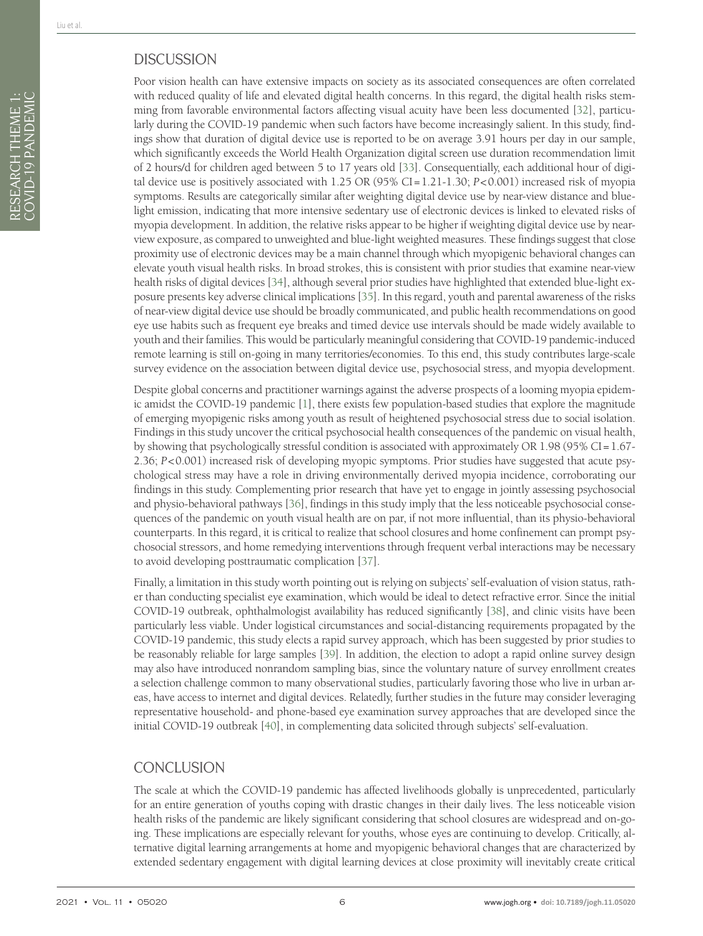Poor vision health can have extensive impacts on society as its associated consequences are often correlated with reduced quality of life and elevated digital health concerns. In this regard, the digital health risks stemming from favorable environmental factors affecting visual acuity have been less documented [[32\]](#page-7-15), particularly during the COVID-19 pandemic when such factors have become increasingly salient. In this study, findings show that duration of digital device use is reported to be on average 3.91 hours per day in our sample, which significantly exceeds the World Health Organization digital screen use duration recommendation limit of 2 hours/d for children aged between 5 to 17 years old [\[33](#page-7-16)]. Consequentially, each additional hour of digital device use is positively associated with 1.25 OR (95% CI=1.21-1.30; *P*<0.001) increased risk of myopia symptoms. Results are categorically similar after weighting digital device use by near-view distance and bluelight emission, indicating that more intensive sedentary use of electronic devices is linked to elevated risks of myopia development. In addition, the relative risks appear to be higher if weighting digital device use by nearview exposure, as compared to unweighted and blue-light weighted measures. These findings suggest that close proximity use of electronic devices may be a main channel through which myopigenic behavioral changes can elevate youth visual health risks. In broad strokes, this is consistent with prior studies that examine near-view health risks of digital devices [[34\]](#page-7-17), although several prior studies have highlighted that extended blue-light exposure presents key adverse clinical implications [\[35](#page-7-18)]. In this regard, youth and parental awareness of the risks of near-view digital device use should be broadly communicated, and public health recommendations on good eye use habits such as frequent eye breaks and timed device use intervals should be made widely available to youth and their families. This would be particularly meaningful considering that COVID-19 pandemic-induced remote learning is still on-going in many territories/economies. To this end, this study contributes large-scale survey evidence on the association between digital device use, psychosocial stress, and myopia development.

Despite global concerns and practitioner warnings against the adverse prospects of a looming myopia epidemic amidst the COVID-19 pandemic [\[1](#page-6-0)], there exists few population-based studies that explore the magnitude of emerging myopigenic risks among youth as result of heightened psychosocial stress due to social isolation. Findings in this study uncover the critical psychosocial health consequences of the pandemic on visual health, by showing that psychologically stressful condition is associated with approximately OR 1.98 (95% CI=1.67- 2.36; *P*<0.001) increased risk of developing myopic symptoms. Prior studies have suggested that acute psychological stress may have a role in driving environmentally derived myopia incidence, corroborating our findings in this study. Complementing prior research that have yet to engage in jointly assessing psychosocial and physio-behavioral pathways [[36\]](#page-7-19), findings in this study imply that the less noticeable psychosocial consequences of the pandemic on youth visual health are on par, if not more influential, than its physio-behavioral counterparts. In this regard, it is critical to realize that school closures and home confinement can prompt psychosocial stressors, and home remedying interventions through frequent verbal interactions may be necessary to avoid developing posttraumatic complication [\[37](#page-7-20)].

Finally, a limitation in this study worth pointing out is relying on subjects' self-evaluation of vision status, rather than conducting specialist eye examination, which would be ideal to detect refractive error. Since the initial COVID-19 outbreak, ophthalmologist availability has reduced significantly [\[38\]](#page-7-21), and clinic visits have been particularly less viable. Under logistical circumstances and social-distancing requirements propagated by the COVID-19 pandemic, this study elects a rapid survey approach, which has been suggested by prior studies to be reasonably reliable for large samples [\[39](#page-7-22)]. In addition, the election to adopt a rapid online survey design may also have introduced nonrandom sampling bias, since the voluntary nature of survey enrollment creates a selection challenge common to many observational studies, particularly favoring those who live in urban areas, have access to internet and digital devices. Relatedly, further studies in the future may consider leveraging representative household- and phone-based eye examination survey approaches that are developed since the initial COVID-19 outbreak [\[40](#page-7-23)], in complementing data solicited through subjects' self-evaluation.

# **CONCLUSION**

The scale at which the COVID-19 pandemic has affected livelihoods globally is unprecedented, particularly for an entire generation of youths coping with drastic changes in their daily lives. The less noticeable vision health risks of the pandemic are likely significant considering that school closures are widespread and on-going. These implications are especially relevant for youths, whose eyes are continuing to develop. Critically, alternative digital learning arrangements at home and myopigenic behavioral changes that are characterized by extended sedentary engagement with digital learning devices at close proximity will inevitably create critical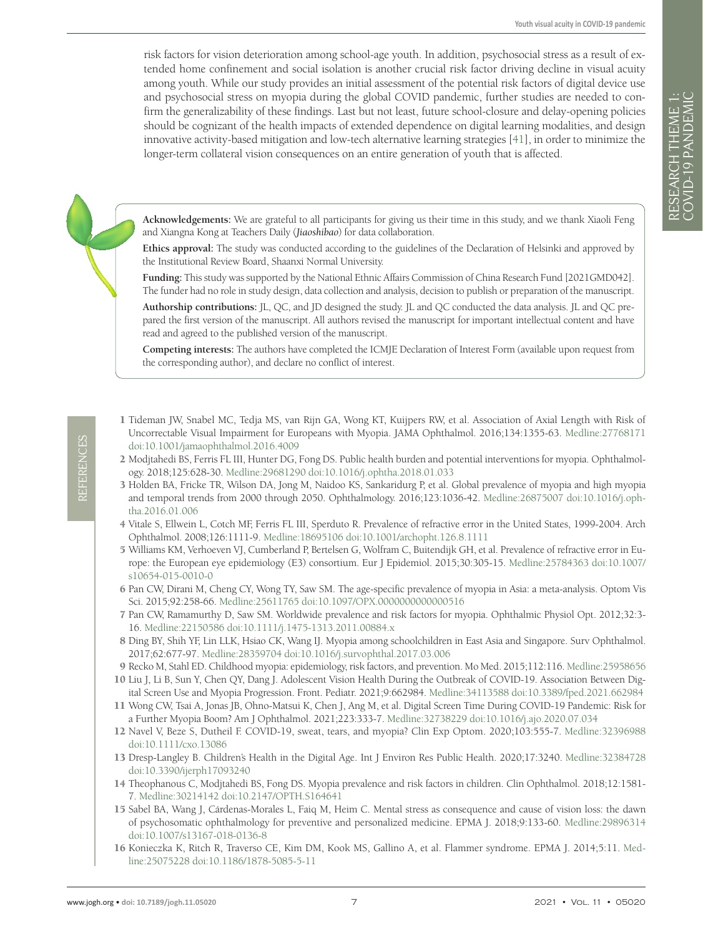risk factors for vision deterioration among school-age youth. In addition, psychosocial stress as a result of extended home confinement and social isolation is another crucial risk factor driving decline in visual acuity among youth. While our study provides an initial assessment of the potential risk factors of digital device use and psychosocial stress on myopia during the global COVID pandemic, further studies are needed to confirm the generalizability of these findings. Last but not least, future school-closure and delay-opening policies should be cognizant of the health impacts of extended dependence on digital learning modalities, and design innovative activity-based mitigation and low-tech alternative learning strategies [\[41\]](#page-7-24), in order to minimize the longer-term collateral vision consequences on an entire generation of youth that is affected.

**Acknowledgements:** We are grateful to all participants for giving us their time in this study, and we thank Xiaoli Feng and Xiangna Kong at Teachers Daily (*Jiaoshibao*) for data collaboration.

**Ethics approval:** The study was conducted according to the guidelines of the Declaration of Helsinki and approved by the Institutional Review Board, Shaanxi Normal University.

**Funding:** This study was supported by the National Ethnic Affairs Commission of China Research Fund [2021GMD042]. The funder had no role in study design, data collection and analysis, decision to publish or preparation of the manuscript.

**Authorship contributions:** JL, QC, and JD designed the study. JL and QC conducted the data analysis. JL and QC prepared the first version of the manuscript. All authors revised the manuscript for important intellectual content and have read and agreed to the published version of the manuscript.

**Competing interests:** The authors have completed the ICMJE Declaration of Interest Form (available upon request from the corresponding author), and declare no conflict of interest.

- <span id="page-6-0"></span>1 Tideman JW, Snabel MC, Tedja MS, van Rijn GA, Wong KT, Kuijpers RW, et al. Association of Axial Length with Risk of Uncorrectable Visual Impairment for Europeans with Myopia. JAMA Ophthalmol. 2016;134:1355-63. [Medline:27768171](https://www.ncbi.nlm.nih.gov/entrez/query.fcgi?cmd=Retrieve&db=PubMed&list_uids=27768171&dopt=Abstract) [doi:10.1001/jamaophthalmol.2016.4009](https://doi.org/10.1001/jamaophthalmol.2016.4009)
- <span id="page-6-1"></span>2 Modjtahedi BS, Ferris FL III, Hunter DG, Fong DS. Public health burden and potential interventions for myopia. Ophthalmology. 2018;125:628-30. [Medline:29681290](https://www.ncbi.nlm.nih.gov/entrez/query.fcgi?cmd=Retrieve&db=PubMed&list_uids=29681290&dopt=Abstract) [doi:10.1016/j.ophtha.2018.01.033](https://doi.org/10.1016/j.ophtha.2018.01.033)
- <span id="page-6-2"></span>3 Holden BA, Fricke TR, Wilson DA, Jong M, Naidoo KS, Sankaridurg P, et al. Global prevalence of myopia and high myopia and temporal trends from 2000 through 2050. Ophthalmology. 2016;123:1036-42. [Medline:26875007](https://www.ncbi.nlm.nih.gov/entrez/query.fcgi?cmd=Retrieve&db=PubMed&list_uids=26875007&dopt=Abstract) [doi:10.1016/j.oph](https://doi.org/10.1016/j.ophtha.2016.01.006)[tha.2016.01.006](https://doi.org/10.1016/j.ophtha.2016.01.006)
- <span id="page-6-3"></span>4 Vitale S, Ellwein L, Cotch MF, Ferris FL III, Sperduto R. Prevalence of refractive error in the United States, 1999-2004. Arch Ophthalmol. 2008;126:1111-9. [Medline:18695106](https://www.ncbi.nlm.nih.gov/entrez/query.fcgi?cmd=Retrieve&db=PubMed&list_uids=18695106&dopt=Abstract) [doi:10.1001/archopht.126.8.1111](https://doi.org/10.1001/archopht.126.8.1111)
- <span id="page-6-4"></span>5 Williams KM, Verhoeven VJ, Cumberland P, Bertelsen G, Wolfram C, Buitendijk GH, et al. Prevalence of refractive error in Europe: the European eye epidemiology (E3) consortium. Eur J Epidemiol. 2015;30:305-15. [Medline:25784363](https://www.ncbi.nlm.nih.gov/entrez/query.fcgi?cmd=Retrieve&db=PubMed&list_uids=25784363&dopt=Abstract) [doi:10.1007/](https://doi.org/10.1007/s10654-015-0010-0) [s10654-015-0010-0](https://doi.org/10.1007/s10654-015-0010-0)
- <span id="page-6-5"></span>6 Pan CW, Dirani M, Cheng CY, Wong TY, Saw SM. The age-specific prevalence of myopia in Asia: a meta-analysis. Optom Vis Sci. 2015;92:258-66. [Medline:25611765](https://www.ncbi.nlm.nih.gov/entrez/query.fcgi?cmd=Retrieve&db=PubMed&list_uids=25611765&dopt=Abstract) [doi:10.1097/OPX.0000000000000516](https://doi.org/10.1097/OPX.0000000000000516)
- 7 Pan CW, Ramamurthy D, Saw SM. Worldwide prevalence and risk factors for myopia. Ophthalmic Physiol Opt. 2012;32:3- 16. [Medline:22150586](https://www.ncbi.nlm.nih.gov/entrez/query.fcgi?cmd=Retrieve&db=PubMed&list_uids=22150586&dopt=Abstract) [doi:10.1111/j.1475-1313.2011.00884.x](https://doi.org/10.1111/j.1475-1313.2011.00884.x)
- <span id="page-6-6"></span>8 Ding BY, Shih YF, Lin LLK, Hsiao CK, Wang IJ. Myopia among schoolchildren in East Asia and Singapore. Surv Ophthalmol. 2017;62:677-97. [Medline:28359704](https://www.ncbi.nlm.nih.gov/entrez/query.fcgi?cmd=Retrieve&db=PubMed&list_uids=28359704&dopt=Abstract) [doi:10.1016/j.survophthal.2017.03.006](https://doi.org/10.1016/j.survophthal.2017.03.006)
- <span id="page-6-7"></span>9 Recko M, Stahl ED. Childhood myopia: epidemiology, risk factors, and prevention. Mo Med. 2015;112:116. [Medline:25958656](https://www.ncbi.nlm.nih.gov/entrez/query.fcgi?cmd=Retrieve&db=PubMed&list_uids=25958656&dopt=Abstract)
- <span id="page-6-8"></span>10 Liu J, Li B, Sun Y, Chen QY, Dang J. Adolescent Vision Health During the Outbreak of COVID-19. Association Between Digital Screen Use and Myopia Progression. Front. Pediatr. 2021;9:662984. [Medline:34113588](https://www.ncbi.nlm.nih.gov/entrez/query.fcgi?cmd=Retrieve&db=PubMed&list_uids=34113588&dopt=Abstract) [doi:10.3389/fped.2021.662984](https://doi.org/10.3389/fped.2021.662984)
- <span id="page-6-9"></span>11 Wong CW, Tsai A, Jonas JB, Ohno-Matsui K, Chen J, Ang M, et al. Digital Screen Time During COVID-19 Pandemic: Risk for a Further Myopia Boom? Am J Ophthalmol. 2021;223:333-7. [Medline:32738229](https://www.ncbi.nlm.nih.gov/entrez/query.fcgi?cmd=Retrieve&db=PubMed&list_uids=32738229&dopt=Abstract) [doi:10.1016/j.ajo.2020.07.034](https://doi.org/10.1016/j.ajo.2020.07.034)
- <span id="page-6-10"></span>12 Navel V, Beze S, Dutheil F. COVID-19, sweat, tears, and myopia? Clin Exp Optom. 2020;103:555-7. [Medline:32396988](https://www.ncbi.nlm.nih.gov/entrez/query.fcgi?cmd=Retrieve&db=PubMed&list_uids=32396988&dopt=Abstract) [doi:10.1111/cxo.13086](https://doi.org/10.1111/cxo.13086)
- <span id="page-6-11"></span>13 Dresp-Langley B. Children's Health in the Digital Age. Int J Environ Res Public Health. 2020;17:3240. [Medline:32384728](https://www.ncbi.nlm.nih.gov/entrez/query.fcgi?cmd=Retrieve&db=PubMed&list_uids=32384728&dopt=Abstract) [doi:10.3390/ijerph17093240](https://doi.org/10.3390/ijerph17093240)
- <span id="page-6-12"></span>14 Theophanous C, Modjtahedi BS, Fong DS. Myopia prevalence and risk factors in children. Clin Ophthalmol. 2018;12:1581- 7. [Medline:30214142](https://www.ncbi.nlm.nih.gov/entrez/query.fcgi?cmd=Retrieve&db=PubMed&list_uids=30214142&dopt=Abstract) [doi:10.2147/OPTH.S164641](https://doi.org/10.2147/OPTH.S164641)
- <span id="page-6-13"></span>15 Sabel BA, Wang J, Cárdenas-Morales L, Faiq M, Heim C. Mental stress as consequence and cause of vision loss: the dawn of psychosomatic ophthalmology for preventive and personalized medicine. EPMA J. 2018;9:133-60. [Medline:29896314](https://www.ncbi.nlm.nih.gov/entrez/query.fcgi?cmd=Retrieve&db=PubMed&list_uids=29896314&dopt=Abstract) [doi:10.1007/s13167-018-0136-8](https://doi.org/10.1007/s13167-018-0136-8)
- <span id="page-6-14"></span>16 Konieczka K, Ritch R, Traverso CE, Kim DM, Kook MS, Gallino A, et al. Flammer syndrome. EPMA J. 2014;5:11. [Med](https://www.ncbi.nlm.nih.gov/entrez/query.fcgi?cmd=Retrieve&db=PubMed&list_uids=25075228&dopt=Abstract)[line:25075228](https://www.ncbi.nlm.nih.gov/entrez/query.fcgi?cmd=Retrieve&db=PubMed&list_uids=25075228&dopt=Abstract) [doi:10.1186/1878-5085-5-11](https://doi.org/10.1186/1878-5085-5-11)